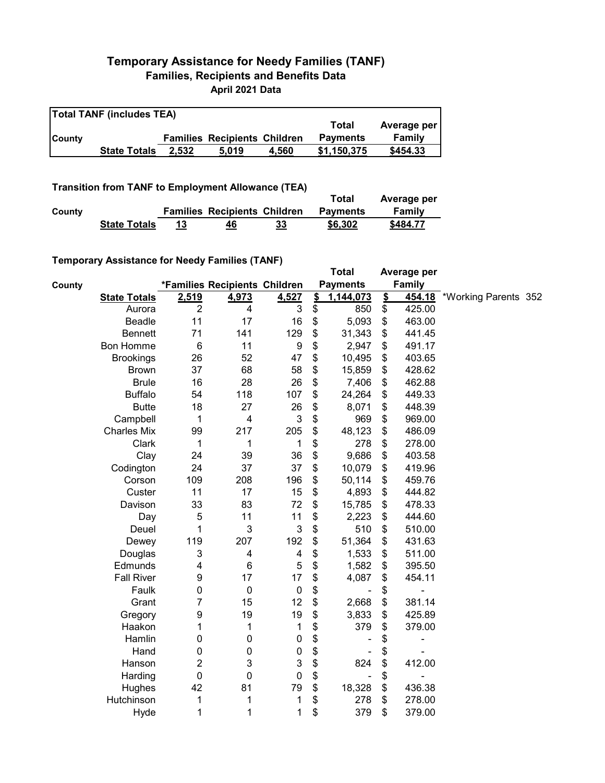## **Temporary Assistance for Needy Families (TANF) Families, Recipients and Benefits Data April 2021 Data**

**Total TANF (includes TEA)**

|               | $\overline{ }$ $\overline{ }$ $\overline{ }$ $\overline{ }$ $\overline{ }$ $\overline{ }$ $\overline{ }$ $\overline{ }$ $\overline{ }$ $\overline{ }$ $\overline{ }$ $\overline{ }$ $\overline{ }$ $\overline{ }$ $\overline{ }$ $\overline{ }$ $\overline{ }$ $\overline{ }$ $\overline{ }$ $\overline{ }$ $\overline{ }$ $\overline{ }$ $\overline{ }$ $\overline{ }$ $\overline{ }$ $\overline{ }$ $\overline{ }$ $\overline{$ |       |                                     |       | Total           | Average per |
|---------------|-----------------------------------------------------------------------------------------------------------------------------------------------------------------------------------------------------------------------------------------------------------------------------------------------------------------------------------------------------------------------------------------------------------------------------------|-------|-------------------------------------|-------|-----------------|-------------|
| <b>County</b> |                                                                                                                                                                                                                                                                                                                                                                                                                                   |       | <b>Families Recipients Children</b> |       | <b>Payments</b> | Family      |
|               | <b>State Totals</b>                                                                                                                                                                                                                                                                                                                                                                                                               | 2.532 | 5.019                               | 4.560 | \$1.150.375     | \$454.33    |

 $\overline{\mathbf{1}}$ 

**Transition from TANF to Employment Allowance (TEA)**

|        |                     |                                     |    | Total           | Average per |
|--------|---------------------|-------------------------------------|----|-----------------|-------------|
| County |                     | <b>Families Recipients Children</b> |    | <b>Payments</b> | Family      |
|        | <b>State Totals</b> | 46                                  | 33 | \$6,302         | \$484.77    |

## **Temporary Assistance for Needy Families (TANF)**

| $\frac{1}{2}$ , to secure to the stage of the stage of the stage of the stage of the stage of the stage of the stage of the stage of the stage of the stage of the stage of the stage of the stage of the stage of the stage of t |                |                               |                  |               | <b>Total</b>             |               | Average per   |                      |  |
|-----------------------------------------------------------------------------------------------------------------------------------------------------------------------------------------------------------------------------------|----------------|-------------------------------|------------------|---------------|--------------------------|---------------|---------------|----------------------|--|
| County                                                                                                                                                                                                                            |                | *Families Recipients Children |                  |               | <b>Payments</b>          |               | Family        |                      |  |
| <b>State Totals</b>                                                                                                                                                                                                               | 2,519          | 4,973                         | 4,527            | $\frac{2}{3}$ | 1,144,073                | $\frac{2}{3}$ | <u>454.18</u> | *Working Parents 352 |  |
| Aurora                                                                                                                                                                                                                            | $\overline{2}$ | 4                             | 3                | \$            | 850                      | \$            | 425.00        |                      |  |
| Beadle                                                                                                                                                                                                                            | 11             | 17                            | 16               | \$            | 5,093                    | \$            | 463.00        |                      |  |
| <b>Bennett</b>                                                                                                                                                                                                                    | 71             | 141                           | 129              | \$            | 31,343                   | \$            | 441.45        |                      |  |
| Bon Homme                                                                                                                                                                                                                         | $\,6$          | 11                            | $\boldsymbol{9}$ | \$            | 2,947                    | \$            | 491.17        |                      |  |
| <b>Brookings</b>                                                                                                                                                                                                                  | 26             | 52                            | 47               | \$            | 10,495                   | \$            | 403.65        |                      |  |
| <b>Brown</b>                                                                                                                                                                                                                      | 37             | 68                            | 58               | \$            | 15,859                   | \$            | 428.62        |                      |  |
| <b>Brule</b>                                                                                                                                                                                                                      | 16             | 28                            | 26               | \$            | 7,406                    | \$            | 462.88        |                      |  |
| <b>Buffalo</b>                                                                                                                                                                                                                    | 54             | 118                           | 107              | \$            | 24,264                   | \$            | 449.33        |                      |  |
| <b>Butte</b>                                                                                                                                                                                                                      | 18             | 27                            | 26               | \$            | 8,071                    | \$            | 448.39        |                      |  |
| Campbell                                                                                                                                                                                                                          | 1              | $\overline{\mathbf{4}}$       | $\mathbf{3}$     | \$            | 969                      | \$            | 969.00        |                      |  |
| <b>Charles Mix</b>                                                                                                                                                                                                                | 99             | 217                           | 205              | \$            | 48,123                   | \$            | 486.09        |                      |  |
| Clark                                                                                                                                                                                                                             | 1              | 1                             | 1                | \$            | 278                      | \$            | 278.00        |                      |  |
| Clay                                                                                                                                                                                                                              | 24             | 39                            | 36               | \$            | 9,686                    | \$            | 403.58        |                      |  |
| Codington                                                                                                                                                                                                                         | 24             | 37                            | 37               | \$            | 10,079                   | \$            | 419.96        |                      |  |
| Corson                                                                                                                                                                                                                            | 109            | 208                           | 196              | \$            | 50,114                   | \$            | 459.76        |                      |  |
| Custer                                                                                                                                                                                                                            | 11             | 17                            | 15               | \$            | 4,893                    | \$            | 444.82        |                      |  |
| Davison                                                                                                                                                                                                                           | 33             | 83                            | 72               | \$            | 15,785                   | \$            | 478.33        |                      |  |
| Day                                                                                                                                                                                                                               | 5              | 11                            | 11               | \$            | 2,223                    | \$            | 444.60        |                      |  |
| Deuel                                                                                                                                                                                                                             | 1              | 3                             | 3                | \$            | 510                      | \$            | 510.00        |                      |  |
| Dewey                                                                                                                                                                                                                             | 119            | 207                           | 192              | \$            | 51,364                   | \$            | 431.63        |                      |  |
| Douglas                                                                                                                                                                                                                           | 3              | 4                             | 4                | \$            | 1,533                    | \$            | 511.00        |                      |  |
| Edmunds                                                                                                                                                                                                                           | 4              | 6                             | 5                | \$            | 1,582                    | \$            | 395.50        |                      |  |
| <b>Fall River</b>                                                                                                                                                                                                                 | 9              | 17                            | 17               | \$            | 4,087                    | \$            | 454.11        |                      |  |
| Faulk                                                                                                                                                                                                                             | 0              | $\mathbf 0$                   | $\pmb{0}$        | \$            | $\overline{\phantom{a}}$ | \$            | ÷             |                      |  |
| Grant                                                                                                                                                                                                                             | 7              | 15                            | 12               | \$            | 2,668                    | \$            | 381.14        |                      |  |
| Gregory                                                                                                                                                                                                                           | 9              | 19                            | 19               | \$            | 3,833                    | \$            | 425.89        |                      |  |
| Haakon                                                                                                                                                                                                                            | 1              | 1                             | 1                | \$            | 379                      | \$            | 379.00        |                      |  |
| Hamlin                                                                                                                                                                                                                            | 0              | 0                             | $\pmb{0}$        | \$            |                          | \$            |               |                      |  |
| Hand                                                                                                                                                                                                                              | 0              | 0                             | $\pmb{0}$        | \$            |                          | \$            |               |                      |  |
| Hanson                                                                                                                                                                                                                            | 2              | 3                             | 3                | \$            | 824                      | \$            | 412.00        |                      |  |
| Harding                                                                                                                                                                                                                           | $\mathbf 0$    | 0                             | 0                | \$            | $\overline{\phantom{a}}$ | \$            | ۰             |                      |  |
| Hughes                                                                                                                                                                                                                            | 42             | 81                            | 79               | \$            | 18,328                   | \$            | 436.38        |                      |  |
| Hutchinson                                                                                                                                                                                                                        | 1              | 1                             | 1                | \$            | 278                      | \$            | 278.00        |                      |  |
| Hyde                                                                                                                                                                                                                              | 1              | 1                             | 1                | \$            | 379                      | \$            | 379.00        |                      |  |